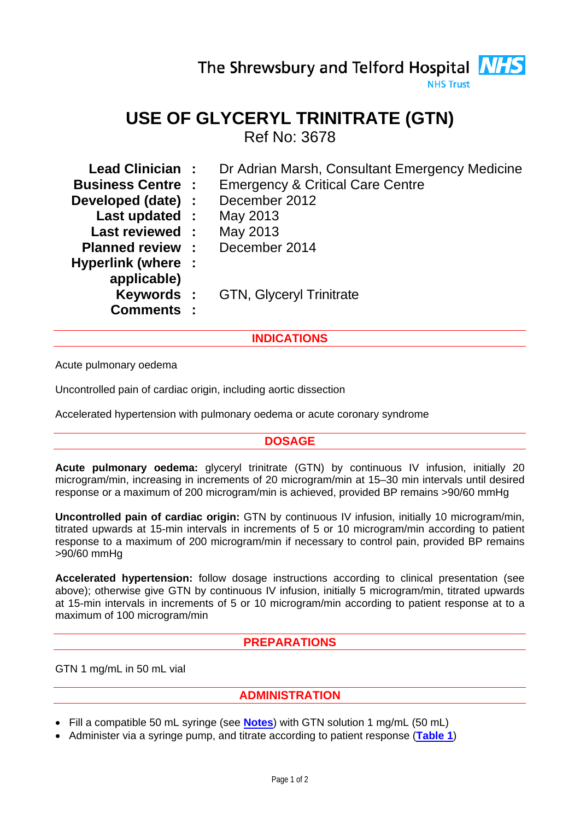# The Shrewsbury and Telford Hospital **NHS**

**NHS Trust** 

## **USE OF GLYCERYL TRINITRATE (GTN)**

Ref No: 3678

| Lead Clinician:           | Dr Adrian Marsh, Consultant Emergency Medicine |
|---------------------------|------------------------------------------------|
| <b>Business Centre :</b>  | <b>Emergency &amp; Critical Care Centre</b>    |
| Developed (date) :        | December 2012                                  |
| Last updated :            | May 2013                                       |
| <b>Last reviewed:</b>     | May 2013                                       |
| <b>Planned review :</b>   | December 2014                                  |
| <b>Hyperlink (where :</b> |                                                |
| applicable)               |                                                |
| <b>Keywords:</b>          | <b>GTN, Glyceryl Trinitrate</b>                |
| <b>Comments :</b>         |                                                |
|                           |                                                |

### **INDICATIONS**

Acute pulmonary oedema

Uncontrolled pain of cardiac origin, including aortic dissection

Accelerated hypertension with pulmonary oedema or acute coronary syndrome

#### **DOSAGE**

**Acute pulmonary oedema:** glyceryl trinitrate (GTN) by continuous IV infusion, initially 20 microgram/min, increasing in increments of 20 microgram/min at 15–30 min intervals until desired response or a maximum of 200 microgram/min is achieved, provided BP remains >90/60 mmHg

**Uncontrolled pain of cardiac origin:** GTN by continuous IV infusion, initially 10 microgram/min, titrated upwards at 15-min intervals in increments of 5 or 10 microgram/min according to patient response to a maximum of 200 microgram/min if necessary to control pain, provided BP remains >90/60 mmHg

**Accelerated hypertension:** follow dosage instructions according to clinical presentation (see above); otherwise give GTN by continuous IV infusion, initially 5 microgram/min, titrated upwards at 15-min intervals in increments of 5 or 10 microgram/min according to patient response at to a maximum of 100 microgram/min

#### **PREPARATIONS**

GTN 1 mg/mL in 50 mL vial

#### **ADMINISTRATION**

- Fill a compatible 50 mL syringe (see **[Notes](#page-1-0)**) with GTN solution 1 mg/mL (50 mL)
- Administer via a syringe pump, and titrate according to patient response (**[Table 1](#page-1-1)**)